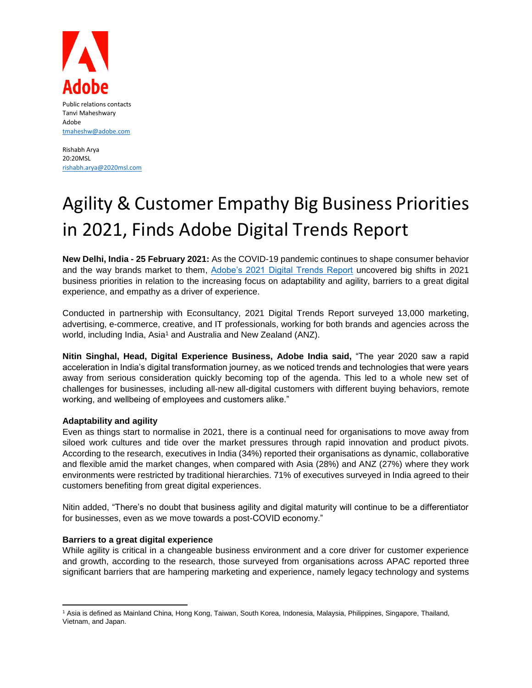

Public relations contacts Tanvi Maheshwary Adobe [tmaheshw@adobe.com](mailto:tmaheshw@adobe.com)

Rishabh Arya 20:20MSL [rishabh.arya@2020msl.com](mailto:rishabh.arya@2020msl.com)

# Agility & Customer Empathy Big Business Priorities in 2021, Finds Adobe Digital Trends Report

**New Delhi, India - 25 February 2021:** As the COVID-19 pandemic continues to shape consumer behavior and the way brands market to them, [Adobe's 2021 Digital Trends Report](https://www.adobe.com/in/offer/digital-trends-2021.html) uncovered big shifts in 2021 business priorities in relation to the increasing focus on adaptability and agility, barriers to a great digital experience, and empathy as a driver of experience.

Conducted in partnership with Econsultancy, 2021 Digital Trends Report surveyed 13,000 marketing, advertising, e-commerce, creative, and IT professionals, working for both brands and agencies across the world, including India, Asia<sup>1</sup> and Australia and New Zealand (ANZ).

**Nitin Singhal, Head, Digital Experience Business, Adobe India said,** "The year 2020 saw a rapid acceleration in India's digital transformation journey, as we noticed trends and technologies that were years away from serious consideration quickly becoming top of the agenda. This led to a whole new set of challenges for businesses, including all-new all-digital customers with different buying behaviors, remote working, and wellbeing of employees and customers alike."

## **Adaptability and agility**

Even as things start to normalise in 2021, there is a continual need for organisations to move away from siloed work cultures and tide over the market pressures through rapid innovation and product pivots. According to the research, executives in India (34%) reported their organisations as dynamic, collaborative and flexible amid the market changes, when compared with Asia (28%) and ANZ (27%) where they work environments were restricted by traditional hierarchies. 71% of executives surveyed in India agreed to their customers benefiting from great digital experiences.

Nitin added, "There's no doubt that business agility and digital maturity will continue to be a differentiator for businesses, even as we move towards a post-COVID economy."

### **Barriers to a great digital experience**

While agility is critical in a changeable business environment and a core driver for customer experience and growth, according to the research, those surveyed from organisations across APAC reported three significant barriers that are hampering marketing and experience, namely legacy technology and systems

 $\overline{\phantom{a}}$ <sup>1</sup> Asia is defined as Mainland China, Hong Kong, Taiwan, South Korea, Indonesia, Malaysia, Philippines, Singapore, Thailand, Vietnam, and Japan.